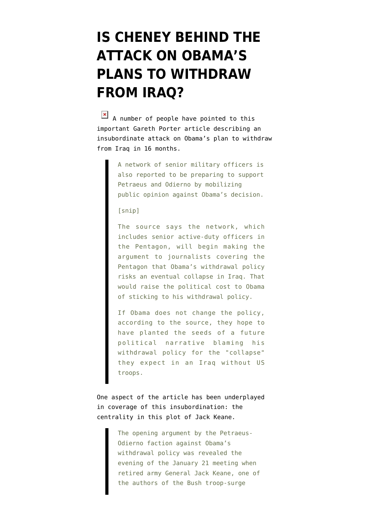## **[IS CHENEY BEHIND THE](https://www.emptywheel.net/2009/02/03/is-cheney-behind-the-attack-on-obamas-plans-to-withdraw-from-iraq-2/) [ATTACK ON OBAMA'S](https://www.emptywheel.net/2009/02/03/is-cheney-behind-the-attack-on-obamas-plans-to-withdraw-from-iraq-2/) [PLANS TO WITHDRAW](https://www.emptywheel.net/2009/02/03/is-cheney-behind-the-attack-on-obamas-plans-to-withdraw-from-iraq-2/) [FROM IRAQ?](https://www.emptywheel.net/2009/02/03/is-cheney-behind-the-attack-on-obamas-plans-to-withdraw-from-iraq-2/)**

 $\overline{a}$  A number of people have pointed to this [important Gareth Porter article](http://www.dailystar.com.lb/article.asp?edition_id=10&categ_id=2&article_id=99076) describing an insubordinate attack on Obama's plan to withdraw from Iraq in 16 months.

> A network of senior military officers is also reported to be preparing to support Petraeus and Odierno by mobilizing public opinion against Obama's decision.

## [snip]

The source says the network, which includes senior active-duty officers in the Pentagon, will begin making the argument to journalists covering the Pentagon that Obama's withdrawal policy risks an eventual collapse in Iraq. That would raise the political cost to Obama of sticking to his withdrawal policy.

If Obama does not change the policy, according to the source, they hope to have planted the seeds of a future political narrative blaming his withdrawal policy for the "collapse" they expect in an Iraq without US troops.

One aspect of the article has been underplayed in coverage of this insubordination: the centrality in this plot of Jack Keane.

> The opening argument by the Petraeus-Odierno faction against Obama's withdrawal policy was revealed the evening of the January 21 meeting when retired army General Jack Keane, one of the authors of the Bush troop-surge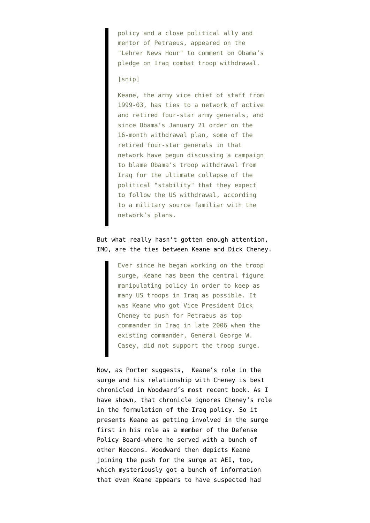policy and a close political ally and mentor of Petraeus, appeared on the "Lehrer News Hour" to comment on Obama's pledge on Iraq combat troop withdrawal.

## [snip]

Keane, the army vice chief of staff from 1999-03, has ties to a network of active and retired four-star army generals, and since Obama's January 21 order on the 16-month withdrawal plan, some of the retired four-star generals in that network have begun discussing a campaign to blame Obama's troop withdrawal from Iraq for the ultimate collapse of the political "stability" that they expect to follow the US withdrawal, according to a military source familiar with the network's plans.

## But what really hasn't gotten enough attention, IMO, are the ties between Keane and Dick Cheney.

Ever since he began working on the troop surge, Keane has been the central figure manipulating policy in order to keep as many US troops in Iraq as possible. It was Keane who got Vice President Dick Cheney to push for Petraeus as top commander in Iraq in late 2006 when the existing commander, General George W. Casey, did not support the troop surge.

Now, as Porter suggests, Keane's role in the surge and his relationship with Cheney is best chronicled in [Woodward's most recent book.](https://www.amazon.com/dp/1416558977?tag=firedoglake-20&camp=0&creative=0&linkCode=as1&creativeASIN=1416558977&adid=01JY829WWK5QPH74DPMF&) As [I](http://firedoglake.com/2008/09/23/fdl-book-salon-welcomes-bob-woodward-author-of-the-war-within/) [have shown,](http://firedoglake.com/2008/09/23/fdl-book-salon-welcomes-bob-woodward-author-of-the-war-within/) that chronicle ignores Cheney's role in the formulation of the Iraq policy. So it presents Keane as getting involved in the surge first in his role as a member of the Defense Policy Board–where he served with a bunch of other Neocons. Woodward then depicts Keane joining the push for the surge at AEI, too, which mysteriously got a bunch of information that even Keane appears to have suspected had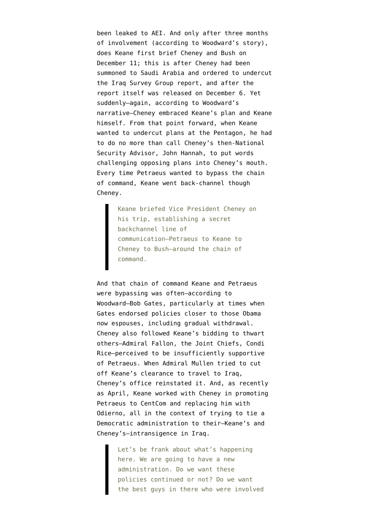been leaked to AEI. And only after three months of involvement (according to Woodward's story), does Keane first brief Cheney and Bush on December 11; this is after Cheney had been [summoned](http://www.washingtonpost.com/wp-dyn/content/article/2006/12/22/AR2006122201474_2.html) to Saudi Arabia and ordered to undercut the Iraq Survey Group report, and after the report itself was released on December 6. Yet suddenly–again, according to Woodward's narrative–Cheney embraced Keane's plan and Keane himself. From that point forward, when Keane wanted to undercut plans at the Pentagon, he had to do no more than call Cheney's then-National Security Advisor, John Hannah, to put words challenging opposing plans into Cheney's mouth. Every time Petraeus wanted to bypass the chain of command, Keane went back-channel though Cheney.

> Keane briefed Vice President Cheney on his trip, establishing a secret backchannel line of communication–Petraeus to Keane to Cheney to Bush–around the chain of command.

And that chain of command Keane and Petraeus were bypassing was often–according to Woodward–Bob Gates, particularly at times when Gates endorsed policies closer to those Obama now espouses, including gradual withdrawal. Cheney also followed Keane's bidding to thwart others–Admiral Fallon, the Joint Chiefs, Condi Rice–perceived to be insufficiently supportive of Petraeus. When Admiral Mullen tried to cut off Keane's clearance to travel to Iraq, Cheney's office reinstated it. And, as recently as April, Keane worked with Cheney in promoting Petraeus to CentCom and replacing him with Odierno, all in the context of trying to tie a Democratic administration to their–Keane's and Cheney's–intransigence in Iraq.

> Let's be frank about what's happening here. We are going to have a new administration. Do we want these policies continued or not? Do we want the best guys in there who were involved